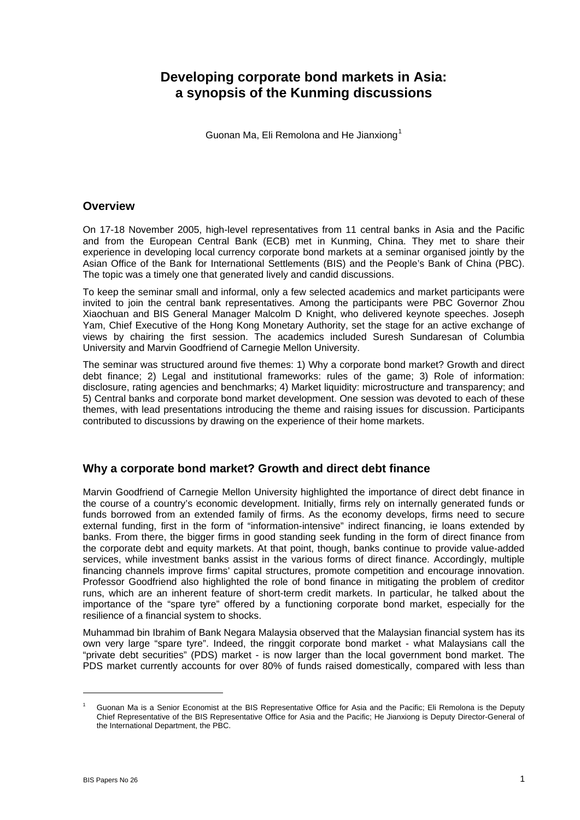# **Developing corporate bond markets in Asia: a synopsis of the Kunming discussions**

Guonan Ma, Eli Remolona and He Jianxiong<sup>[1](#page-0-0)</sup>

### **Overview**

On 17-18 November 2005, high-level representatives from 11 central banks in Asia and the Pacific and from the European Central Bank (ECB) met in Kunming, China. They met to share their experience in developing local currency corporate bond markets at a seminar organised jointly by the Asian Office of the Bank for International Settlements (BIS) and the People's Bank of China (PBC). The topic was a timely one that generated lively and candid discussions.

To keep the seminar small and informal, only a few selected academics and market participants were invited to join the central bank representatives. Among the participants were PBC Governor Zhou Xiaochuan and BIS General Manager Malcolm D Knight, who delivered keynote speeches. Joseph Yam, Chief Executive of the Hong Kong Monetary Authority, set the stage for an active exchange of views by chairing the first session. The academics included Suresh Sundaresan of Columbia University and Marvin Goodfriend of Carnegie Mellon University.

The seminar was structured around five themes: 1) Why a corporate bond market? Growth and direct debt finance; 2) Legal and institutional frameworks: rules of the game; 3) Role of information: disclosure, rating agencies and benchmarks; 4) Market liquidity: microstructure and transparency; and 5) Central banks and corporate bond market development. One session was devoted to each of these themes, with lead presentations introducing the theme and raising issues for discussion. Participants contributed to discussions by drawing on the experience of their home markets.

### **Why a corporate bond market? Growth and direct debt finance**

Marvin Goodfriend of Carnegie Mellon University highlighted the importance of direct debt finance in the course of a country's economic development. Initially, firms rely on internally generated funds or funds borrowed from an extended family of firms. As the economy develops, firms need to secure external funding, first in the form of "information-intensive" indirect financing, ie loans extended by banks. From there, the bigger firms in good standing seek funding in the form of direct finance from the corporate debt and equity markets. At that point, though, banks continue to provide value-added services, while investment banks assist in the various forms of direct finance. Accordingly, multiple financing channels improve firms' capital structures, promote competition and encourage innovation. Professor Goodfriend also highlighted the role of bond finance in mitigating the problem of creditor runs, which are an inherent feature of short-term credit markets. In particular, he talked about the importance of the "spare tyre" offered by a functioning corporate bond market, especially for the resilience of a financial system to shocks.

Muhammad bin Ibrahim of Bank Negara Malaysia observed that the Malaysian financial system has its own very large "spare tyre". Indeed, the ringgit corporate bond market - what Malaysians call the "private debt securities" (PDS) market - is now larger than the local government bond market. The PDS market currently accounts for over 80% of funds raised domestically, compared with less than

-

<span id="page-0-0"></span><sup>1</sup> Guonan Ma is a Senior Economist at the BIS Representative Office for Asia and the Pacific; Eli Remolona is the Deputy Chief Representative of the BIS Representative Office for Asia and the Pacific; He Jianxiong is Deputy Director-General of the International Department, the PBC.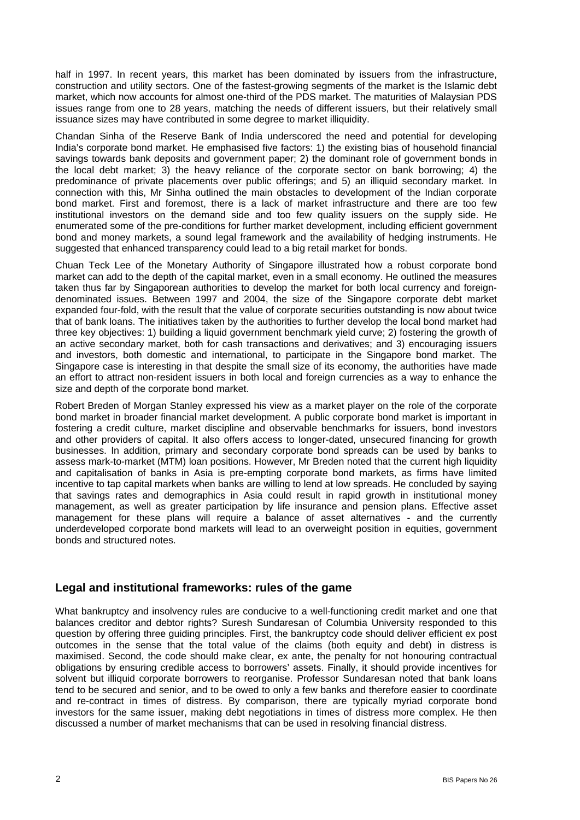half in 1997. In recent years, this market has been dominated by issuers from the infrastructure, construction and utility sectors. One of the fastest-growing segments of the market is the Islamic debt market, which now accounts for almost one-third of the PDS market. The maturities of Malaysian PDS issues range from one to 28 years, matching the needs of different issuers, but their relatively small issuance sizes may have contributed in some degree to market illiquidity.

Chandan Sinha of the Reserve Bank of India underscored the need and potential for developing India's corporate bond market. He emphasised five factors: 1) the existing bias of household financial savings towards bank deposits and government paper; 2) the dominant role of government bonds in the local debt market; 3) the heavy reliance of the corporate sector on bank borrowing; 4) the predominance of private placements over public offerings; and 5) an illiquid secondary market. In connection with this, Mr Sinha outlined the main obstacles to development of the Indian corporate bond market. First and foremost, there is a lack of market infrastructure and there are too few institutional investors on the demand side and too few quality issuers on the supply side. He enumerated some of the pre-conditions for further market development, including efficient government bond and money markets, a sound legal framework and the availability of hedging instruments. He suggested that enhanced transparency could lead to a big retail market for bonds.

Chuan Teck Lee of the Monetary Authority of Singapore illustrated how a robust corporate bond market can add to the depth of the capital market, even in a small economy. He outlined the measures taken thus far by Singaporean authorities to develop the market for both local currency and foreigndenominated issues. Between 1997 and 2004, the size of the Singapore corporate debt market expanded four-fold, with the result that the value of corporate securities outstanding is now about twice that of bank loans. The initiatives taken by the authorities to further develop the local bond market had three key objectives: 1) building a liquid government benchmark yield curve; 2) fostering the growth of an active secondary market, both for cash transactions and derivatives; and 3) encouraging issuers and investors, both domestic and international, to participate in the Singapore bond market. The Singapore case is interesting in that despite the small size of its economy, the authorities have made an effort to attract non-resident issuers in both local and foreign currencies as a way to enhance the size and depth of the corporate bond market.

Robert Breden of Morgan Stanley expressed his view as a market player on the role of the corporate bond market in broader financial market development. A public corporate bond market is important in fostering a credit culture, market discipline and observable benchmarks for issuers, bond investors and other providers of capital. It also offers access to longer-dated, unsecured financing for growth businesses. In addition, primary and secondary corporate bond spreads can be used by banks to assess mark-to-market (MTM) loan positions. However, Mr Breden noted that the current high liquidity and capitalisation of banks in Asia is pre-empting corporate bond markets, as firms have limited incentive to tap capital markets when banks are willing to lend at low spreads. He concluded by saying that savings rates and demographics in Asia could result in rapid growth in institutional money management, as well as greater participation by life insurance and pension plans. Effective asset management for these plans will require a balance of asset alternatives - and the currently underdeveloped corporate bond markets will lead to an overweight position in equities, government bonds and structured notes.

### **Legal and institutional frameworks: rules of the game**

What bankruptcy and insolvency rules are conducive to a well-functioning credit market and one that balances creditor and debtor rights? Suresh Sundaresan of Columbia University responded to this question by offering three guiding principles. First, the bankruptcy code should deliver efficient ex post outcomes in the sense that the total value of the claims (both equity and debt) in distress is maximised. Second, the code should make clear, ex ante, the penalty for not honouring contractual obligations by ensuring credible access to borrowers' assets. Finally, it should provide incentives for solvent but illiquid corporate borrowers to reorganise. Professor Sundaresan noted that bank loans tend to be secured and senior, and to be owed to only a few banks and therefore easier to coordinate and re-contract in times of distress. By comparison, there are typically myriad corporate bond investors for the same issuer, making debt negotiations in times of distress more complex. He then discussed a number of market mechanisms that can be used in resolving financial distress.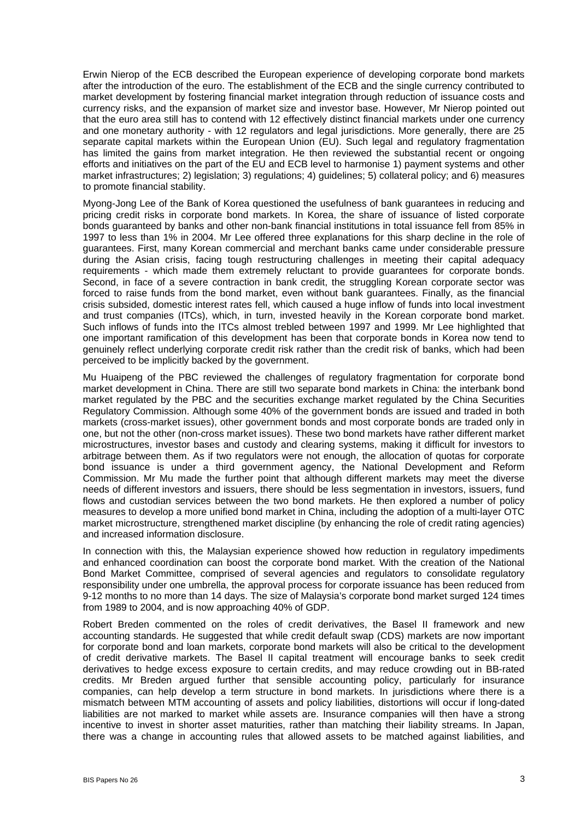Erwin Nierop of the ECB described the European experience of developing corporate bond markets after the introduction of the euro. The establishment of the ECB and the single currency contributed to market development by fostering financial market integration through reduction of issuance costs and currency risks, and the expansion of market size and investor base. However, Mr Nierop pointed out that the euro area still has to contend with 12 effectively distinct financial markets under one currency and one monetary authority - with 12 regulators and legal jurisdictions. More generally, there are 25 separate capital markets within the European Union (EU). Such legal and regulatory fragmentation has limited the gains from market integration. He then reviewed the substantial recent or ongoing efforts and initiatives on the part of the EU and ECB level to harmonise 1) payment systems and other market infrastructures; 2) legislation; 3) regulations; 4) guidelines; 5) collateral policy; and 6) measures to promote financial stability.

Myong-Jong Lee of the Bank of Korea questioned the usefulness of bank guarantees in reducing and pricing credit risks in corporate bond markets. In Korea, the share of issuance of listed corporate bonds guaranteed by banks and other non-bank financial institutions in total issuance fell from 85% in 1997 to less than 1% in 2004. Mr Lee offered three explanations for this sharp decline in the role of guarantees. First, many Korean commercial and merchant banks came under considerable pressure during the Asian crisis, facing tough restructuring challenges in meeting their capital adequacy requirements - which made them extremely reluctant to provide guarantees for corporate bonds. Second, in face of a severe contraction in bank credit, the struggling Korean corporate sector was forced to raise funds from the bond market, even without bank guarantees. Finally, as the financial crisis subsided, domestic interest rates fell, which caused a huge inflow of funds into local investment and trust companies (ITCs), which, in turn, invested heavily in the Korean corporate bond market. Such inflows of funds into the ITCs almost trebled between 1997 and 1999. Mr Lee highlighted that one important ramification of this development has been that corporate bonds in Korea now tend to genuinely reflect underlying corporate credit risk rather than the credit risk of banks, which had been perceived to be implicitly backed by the government.

Mu Huaipeng of the PBC reviewed the challenges of regulatory fragmentation for corporate bond market development in China. There are still two separate bond markets in China: the interbank bond market regulated by the PBC and the securities exchange market regulated by the China Securities Regulatory Commission. Although some 40% of the government bonds are issued and traded in both markets (cross-market issues), other government bonds and most corporate bonds are traded only in one, but not the other (non-cross market issues). These two bond markets have rather different market microstructures, investor bases and custody and clearing systems, making it difficult for investors to arbitrage between them. As if two regulators were not enough, the allocation of quotas for corporate bond issuance is under a third government agency, the National Development and Reform Commission. Mr Mu made the further point that although different markets may meet the diverse needs of different investors and issuers, there should be less segmentation in investors, issuers, fund flows and custodian services between the two bond markets. He then explored a number of policy measures to develop a more unified bond market in China, including the adoption of a multi-layer OTC market microstructure, strengthened market discipline (by enhancing the role of credit rating agencies) and increased information disclosure.

In connection with this, the Malaysian experience showed how reduction in regulatory impediments and enhanced coordination can boost the corporate bond market. With the creation of the National Bond Market Committee, comprised of several agencies and regulators to consolidate regulatory responsibility under one umbrella, the approval process for corporate issuance has been reduced from 9-12 months to no more than 14 days. The size of Malaysia's corporate bond market surged 124 times from 1989 to 2004, and is now approaching 40% of GDP.

Robert Breden commented on the roles of credit derivatives, the Basel II framework and new accounting standards. He suggested that while credit default swap (CDS) markets are now important for corporate bond and loan markets, corporate bond markets will also be critical to the development of credit derivative markets. The Basel II capital treatment will encourage banks to seek credit derivatives to hedge excess exposure to certain credits, and may reduce crowding out in BB-rated credits. Mr Breden argued further that sensible accounting policy, particularly for insurance companies, can help develop a term structure in bond markets. In jurisdictions where there is a mismatch between MTM accounting of assets and policy liabilities, distortions will occur if long-dated liabilities are not marked to market while assets are. Insurance companies will then have a strong incentive to invest in shorter asset maturities, rather than matching their liability streams. In Japan, there was a change in accounting rules that allowed assets to be matched against liabilities, and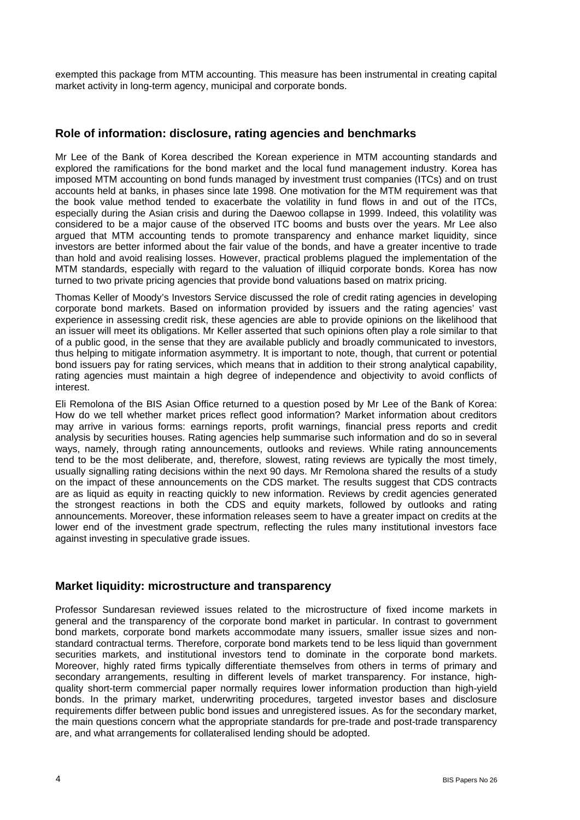exempted this package from MTM accounting. This measure has been instrumental in creating capital market activity in long-term agency, municipal and corporate bonds.

## **Role of information: disclosure, rating agencies and benchmarks**

Mr Lee of the Bank of Korea described the Korean experience in MTM accounting standards and explored the ramifications for the bond market and the local fund management industry. Korea has imposed MTM accounting on bond funds managed by investment trust companies (ITCs) and on trust accounts held at banks, in phases since late 1998. One motivation for the MTM requirement was that the book value method tended to exacerbate the volatility in fund flows in and out of the ITCs, especially during the Asian crisis and during the Daewoo collapse in 1999. Indeed, this volatility was considered to be a major cause of the observed ITC booms and busts over the years. Mr Lee also argued that MTM accounting tends to promote transparency and enhance market liquidity, since investors are better informed about the fair value of the bonds, and have a greater incentive to trade than hold and avoid realising losses. However, practical problems plagued the implementation of the MTM standards, especially with regard to the valuation of illiquid corporate bonds. Korea has now turned to two private pricing agencies that provide bond valuations based on matrix pricing.

Thomas Keller of Moody's Investors Service discussed the role of credit rating agencies in developing corporate bond markets. Based on information provided by issuers and the rating agencies' vast experience in assessing credit risk, these agencies are able to provide opinions on the likelihood that an issuer will meet its obligations. Mr Keller asserted that such opinions often play a role similar to that of a public good, in the sense that they are available publicly and broadly communicated to investors, thus helping to mitigate information asymmetry. It is important to note, though, that current or potential bond issuers pay for rating services, which means that in addition to their strong analytical capability, rating agencies must maintain a high degree of independence and objectivity to avoid conflicts of interest.

Eli Remolona of the BIS Asian Office returned to a question posed by Mr Lee of the Bank of Korea: How do we tell whether market prices reflect good information? Market information about creditors may arrive in various forms: earnings reports, profit warnings, financial press reports and credit analysis by securities houses. Rating agencies help summarise such information and do so in several ways, namely, through rating announcements, outlooks and reviews. While rating announcements tend to be the most deliberate, and, therefore, slowest, rating reviews are typically the most timely, usually signalling rating decisions within the next 90 days. Mr Remolona shared the results of a study on the impact of these announcements on the CDS market. The results suggest that CDS contracts are as liquid as equity in reacting quickly to new information. Reviews by credit agencies generated the strongest reactions in both the CDS and equity markets, followed by outlooks and rating announcements. Moreover, these information releases seem to have a greater impact on credits at the lower end of the investment grade spectrum, reflecting the rules many institutional investors face against investing in speculative grade issues.

### **Market liquidity: microstructure and transparency**

Professor Sundaresan reviewed issues related to the microstructure of fixed income markets in general and the transparency of the corporate bond market in particular. In contrast to government bond markets, corporate bond markets accommodate many issuers, smaller issue sizes and nonstandard contractual terms. Therefore, corporate bond markets tend to be less liquid than government securities markets, and institutional investors tend to dominate in the corporate bond markets. Moreover, highly rated firms typically differentiate themselves from others in terms of primary and secondary arrangements, resulting in different levels of market transparency. For instance, highquality short-term commercial paper normally requires lower information production than high-yield bonds. In the primary market, underwriting procedures, targeted investor bases and disclosure requirements differ between public bond issues and unregistered issues. As for the secondary market, the main questions concern what the appropriate standards for pre-trade and post-trade transparency are, and what arrangements for collateralised lending should be adopted.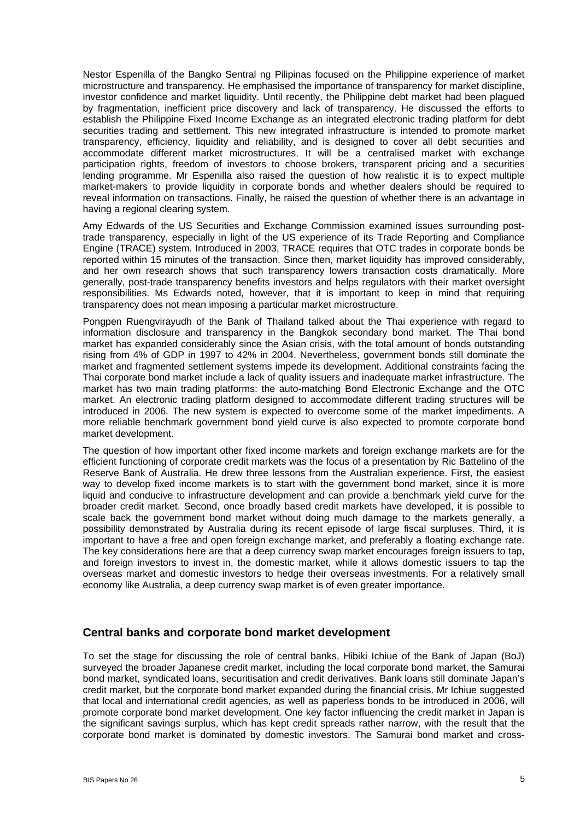Nestor Espenilla of the Bangko Sentral ng Pilipinas focused on the Philippine experience of market microstructure and transparency. He emphasised the importance of transparency for market discipline, investor confidence and market liquidity. Until recently, the Philippine debt market had been plagued by fragmentation, inefficient price discovery and lack of transparency. He discussed the efforts to establish the Philippine Fixed Income Exchange as an integrated electronic trading platform for debt securities trading and settlement. This new integrated infrastructure is intended to promote market transparency, efficiency, liquidity and reliability, and is designed to cover all debt securities and accommodate different market microstructures. It will be a centralised market with exchange participation rights, freedom of investors to choose brokers, transparent pricing and a securities lending programme. Mr Espenilla also raised the question of how realistic it is to expect multiple market-makers to provide liquidity in corporate bonds and whether dealers should be required to reveal information on transactions. Finally, he raised the question of whether there is an advantage in having a regional clearing system.

Amy Edwards of the US Securities and Exchange Commission examined issues surrounding posttrade transparency, especially in light of the US experience of its Trade Reporting and Compliance Engine (TRACE) system. Introduced in 2003, TRACE requires that OTC trades in corporate bonds be reported within 15 minutes of the transaction. Since then, market liquidity has improved considerably, and her own research shows that such transparency lowers transaction costs dramatically. More generally, post-trade transparency benefits investors and helps regulators with their market oversight responsibilities. Ms Edwards noted, however, that it is important to keep in mind that requiring transparency does not mean imposing a particular market microstructure.

Pongpen Ruengvirayudh of the Bank of Thailand talked about the Thai experience with regard to information disclosure and transparency in the Bangkok secondary bond market. The Thai bond market has expanded considerably since the Asian crisis, with the total amount of bonds outstanding rising from 4% of GDP in 1997 to 42% in 2004. Nevertheless, government bonds still dominate the market and fragmented settlement systems impede its development. Additional constraints facing the Thai corporate bond market include a lack of quality issuers and inadequate market infrastructure. The market has two main trading platforms: the auto-matching Bond Electronic Exchange and the OTC market. An electronic trading platform designed to accommodate different trading structures will be introduced in 2006. The new system is expected to overcome some of the market impediments. A more reliable benchmark government bond yield curve is also expected to promote corporate bond market development.

The question of how important other fixed income markets and foreign exchange markets are for the efficient functioning of corporate credit markets was the focus of a presentation by Ric Battelino of the Reserve Bank of Australia. He drew three lessons from the Australian experience. First, the easiest way to develop fixed income markets is to start with the government bond market, since it is more liquid and conducive to infrastructure development and can provide a benchmark yield curve for the broader credit market. Second, once broadly based credit markets have developed, it is possible to scale back the government bond market without doing much damage to the markets generally, a possibility demonstrated by Australia during its recent episode of large fiscal surpluses. Third, it is important to have a free and open foreign exchange market, and preferably a floating exchange rate. The key considerations here are that a deep currency swap market encourages foreign issuers to tap, and foreign investors to invest in, the domestic market, while it allows domestic issuers to tap the overseas market and domestic investors to hedge their overseas investments. For a relatively small economy like Australia, a deep currency swap market is of even greater importance.

#### **Central banks and corporate bond market development**

To set the stage for discussing the role of central banks, Hibiki Ichiue of the Bank of Japan (BoJ) surveyed the broader Japanese credit market, including the local corporate bond market, the Samurai bond market, syndicated loans, securitisation and credit derivatives. Bank loans still dominate Japan's credit market, but the corporate bond market expanded during the financial crisis. Mr Ichiue suggested that local and international credit agencies, as well as paperless bonds to be introduced in 2006, will promote corporate bond market development. One key factor influencing the credit market in Japan is the significant savings surplus, which has kept credit spreads rather narrow, with the result that the corporate bond market is dominated by domestic investors. The Samurai bond market and cross